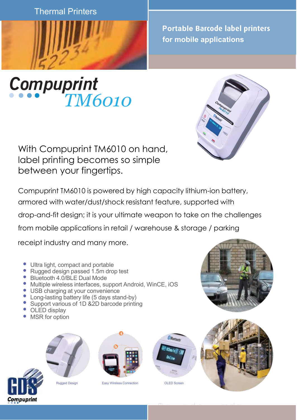**Thermal Printers** 



*TM6010*

**Portable Barcode label printers for mobile applications**



With Compuprint TM6010 on hand, label printing becomes so simple between your fingertips.

Compuprint TM6010 is powered by high capacity lithium-ion battery, armored with water/dust/shock resistant feature, supported with drop-and-fit design; it is your ultimate weapon to take on the challenges from mobile applications in retail / warehouse & storage / parking

receipt industry and many more.

- Ultra light, compact and portable
- Rugged design passed 1.5m drop test
- Bluetooth 4.0/BLE Dual Mode
- Multiple wireless interfaces, support Android, WinCE, iOS
- USB charging at your convenience
- Long-lasting battery life (5 days stand-by)
- Support various of 1D & 2D barcode printing
- OLED display
- MSR for option





Rugged Design **Easy Wireless Connection CLED** Screen